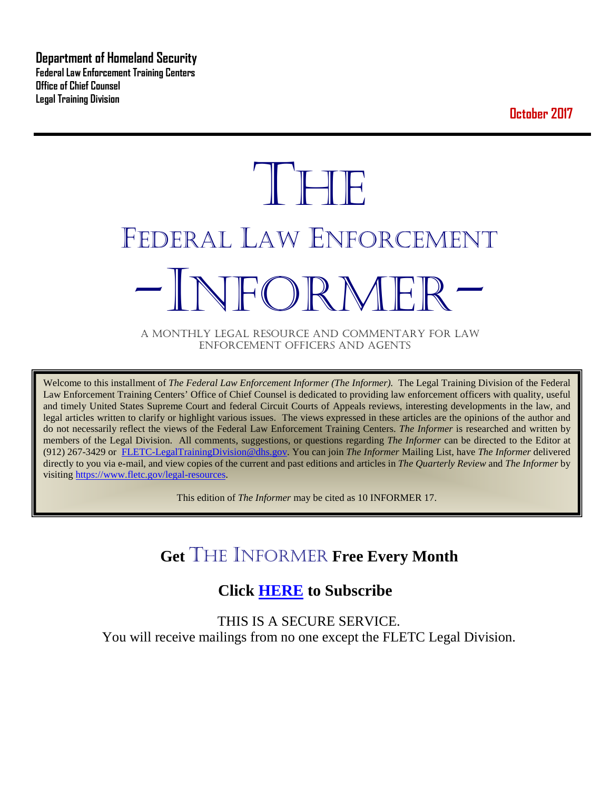**Department of Homeland Security Federal Law Enforcement Training Centers Office of Chief Counsel Legal Training Division** 

**October 2017**

# **THE** FEDERAL LAW ENFORCEMENT -INFORMER- A MONTHLY LEGAL RESOURCE AND COMMENTARY FOR LAW

ENFORCEMENT OFFICERS AND AGENTS

Welcome to this installment of *The Federal Law Enforcement Informer (The Informer).* The Legal Training Division of the Federal Law Enforcement Training Centers' Office of Chief Counsel is dedicated to providing law enforcement officers with quality, useful and timely United States Supreme Court and federal Circuit Courts of Appeals reviews, interesting developments in the law, and legal articles written to clarify or highlight various issues. The views expressed in these articles are the opinions of the author and do not necessarily reflect the views of the Federal Law Enforcement Training Centers. *The Informer* is researched and written by members of the Legal Division. All comments, suggestions, or questions regarding *The Informer* can be directed to the Editor at (912) 267-3429 or [FLETC-LegalTrainingDivision@dhs.gov.](mailto:FLETC-LegalTrainingDivision@dhs.gov) You can join *The Informer* Mailing List, have *The Informer* delivered directly to you via e-mail, and view copies of the current and past editions and articles in *The Quarterly Review* and *The Informer* by visiting [https://www.fletc.gov/legal-resources.](https://www.fletc.gov/legal-resources) 

This edition of *The Informer* may be cited as 10 INFORMER 17.

# **Get** THE INFORMER **Free Every Month**

# **Click [HERE](https://app.co-sender.com/opt-in/list/7b007eab-378b-4542-807f-44d6de94cb7e) to Subscribe**

THIS IS A SECURE SERVICE. You will receive mailings from no one except the FLETC Legal Division.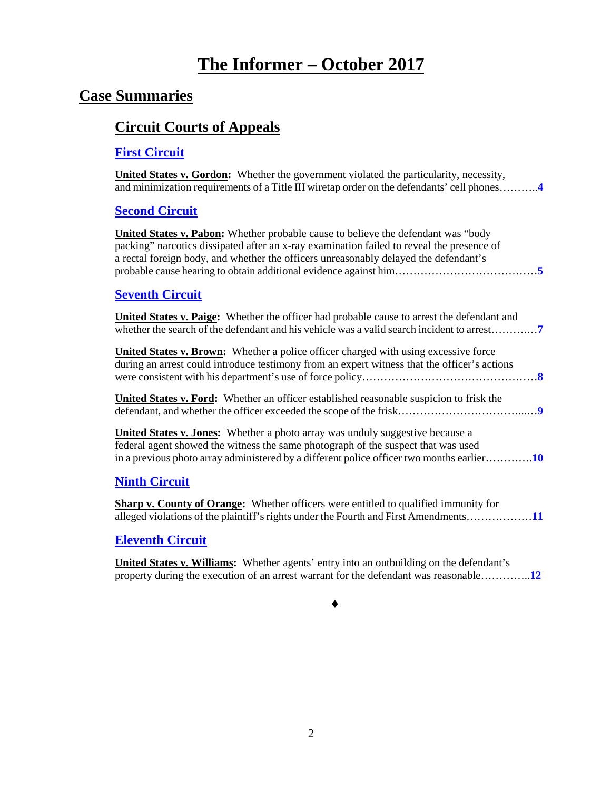# **The Informer – October <sup>2017</sup>**

### **Case Summaries**

### **[Circuit Courts of Appeals](#page-3-0)**

### **[First Circuit](#page-3-1)**

**United States v. Gordon:** Whether the government violated the particularity, necessity, and minimization requirements of a Title III wiretap order on the defendants' cell phones………..**[4](#page-3-2)**

### **[Second Circuit](#page-4-0)**

**United States v. Pabon:** Whether probable cause to believe the defendant was "body packing" narcotics dissipated after an x-ray examination failed to reveal the presence of a rectal foreign body, and whether the officers unreasonably delayed the defendant's probable cause hearing to obtain additional evidence against him…………………………………**[5](#page-4-1)**

### **[Seventh Circuit](#page-6-0)**

**United States v. Paige:** Whether the officer had probable cause to arrest the defendant and whether the search of the defendant and his vehicle was a valid search incident to arrest……….…**[7](#page-6-1)**

**United States v. Brown:** Whether a police officer charged with using excessive force during an arrest could introduce testimony from an expert witness that the officer's actions were consistent with his department's use of force policy…………………………………………**[8](#page-7-0)**

**United States v. Ford:** Whether an officer established reasonable suspicion to frisk the defendant, and whether the officer exceeded the scope of the frisk……………………………...…**[9](#page-8-0)**

**United States v. Jones:** Whether a photo array was unduly suggestive because a federal agent showed the witness the same photograph of the suspect that was used in a previous photo array administered by a different police officer two months earlier………….**[10](#page-9-0)**

### **[Ninth Circuit](#page-10-0)**

**Sharp v. County of Orange:** Whether officers were entitled to qualified immunity for alleged violations of the plaintiff's rights under the Fourth and First Amendments………………**[11](#page-10-1)**

### **[Eleventh Circuit](#page-11-0)**

**United States v. Williams:** Whether agents' entry into an outbuilding on the defendant's property during the execution of an arrest warrant for the defendant was reasonable…………..**[12](#page-11-1)**

♦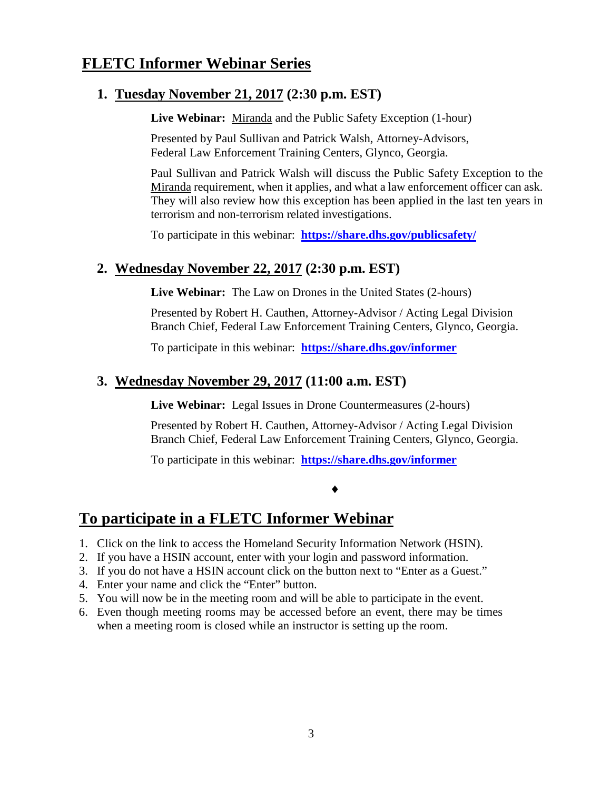## **FLETC Informer Webinar Series**

### **1. Tuesday November 21, 2017 (2:30 p.m. EST)**

**Live Webinar:** Miranda and the Public Safety Exception (1-hour)

Presented by Paul Sullivan and Patrick Walsh, Attorney-Advisors, Federal Law Enforcement Training Centers, Glynco, Georgia.

Paul Sullivan and Patrick Walsh will discuss the Public Safety Exception to the Miranda requirement, when it applies, and what a law enforcement officer can ask. They will also review how this exception has been applied in the last ten years in terrorism and non-terrorism related investigations.

To participate in this webinar: **<https://share.dhs.gov/publicsafety/>**

### **2. Wednesday November 22, 2017 (2:30 p.m. EST)**

**Live Webinar:** The Law on Drones in the United States (2-hours)

Presented by Robert H. Cauthen, Attorney-Advisor / Acting Legal Division Branch Chief, Federal Law Enforcement Training Centers, Glynco, Georgia.

To participate in this webinar: **<https://share.dhs.gov/informer>**

### **3. Wednesday November 29, 2017 (11:00 a.m. EST)**

**Live Webinar:** Legal Issues in Drone Countermeasures (2-hours)

Presented by Robert H. Cauthen, Attorney-Advisor / Acting Legal Division Branch Chief, Federal Law Enforcement Training Centers, Glynco, Georgia.

To participate in this webinar: **<https://share.dhs.gov/informer>**

♦

### **To participate in a FLETC Informer Webinar**

- 1. Click on the link to access the Homeland Security Information Network (HSIN).
- 2. If you have a HSIN account, enter with your login and password information.
- 3. If you do not have a HSIN account click on the button next to "Enter as a Guest."
- 4. Enter your name and click the "Enter" button.
- 5. You will now be in the meeting room and will be able to participate in the event.
- 6. Even though meeting rooms may be accessed before an event, there may be times when a meeting room is closed while an instructor is setting up the room.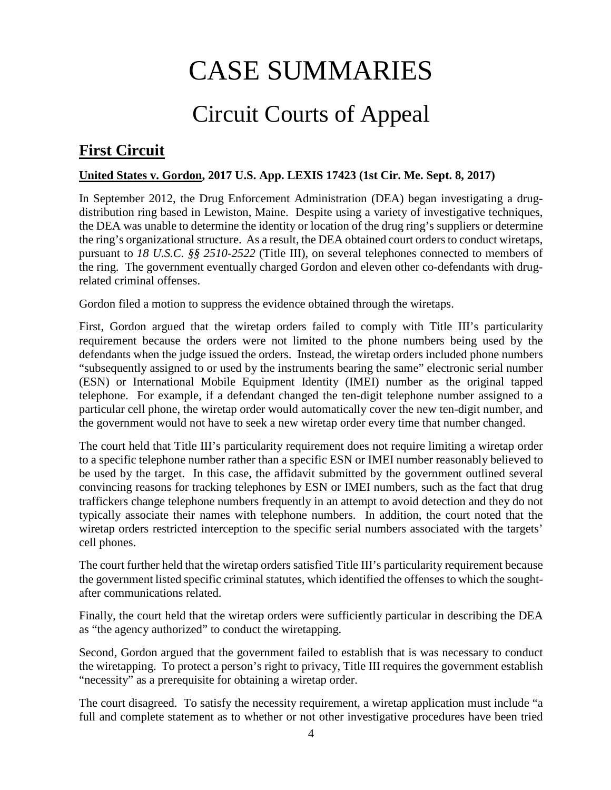# CASE SUMMARIES

# Circuit Courts of Appeal

# <span id="page-3-1"></span><span id="page-3-0"></span>**First Circuit**

### <span id="page-3-2"></span>**United States v. Gordon, 2017 U.S. App. LEXIS 17423 (1st Cir. Me. Sept. 8, 2017)**

In September 2012, the Drug Enforcement Administration (DEA) began investigating a drugdistribution ring based in Lewiston, Maine. Despite using a variety of investigative techniques, the DEA was unable to determine the identity or location of the drug ring's suppliers or determine the ring's organizational structure. As a result, the DEA obtained court orders to conduct wiretaps, pursuant to *18 U.S.C. §§ 2510-2522* (Title III), on several telephones connected to members of the ring. The government eventually charged Gordon and eleven other co-defendants with drugrelated criminal offenses.

Gordon filed a motion to suppress the evidence obtained through the wiretaps.

First, Gordon argued that the wiretap orders failed to comply with Title III's particularity requirement because the orders were not limited to the phone numbers being used by the defendants when the judge issued the orders. Instead, the wiretap orders included phone numbers "subsequently assigned to or used by the instruments bearing the same" electronic serial number (ESN) or International Mobile Equipment Identity (IMEI) number as the original tapped telephone. For example, if a defendant changed the ten-digit telephone number assigned to a particular cell phone, the wiretap order would automatically cover the new ten-digit number, and the government would not have to seek a new wiretap order every time that number changed.

The court held that Title III's particularity requirement does not require limiting a wiretap order to a specific telephone number rather than a specific ESN or IMEI number reasonably believed to be used by the target. In this case, the affidavit submitted by the government outlined several convincing reasons for tracking telephones by ESN or IMEI numbers, such as the fact that drug traffickers change telephone numbers frequently in an attempt to avoid detection and they do not typically associate their names with telephone numbers. In addition, the court noted that the wiretap orders restricted interception to the specific serial numbers associated with the targets' cell phones.

The court further held that the wiretap orders satisfied Title III's particularity requirement because the government listed specific criminal statutes, which identified the offenses to which the soughtafter communications related.

Finally, the court held that the wiretap orders were sufficiently particular in describing the DEA as "the agency authorized" to conduct the wiretapping.

Second, Gordon argued that the government failed to establish that is was necessary to conduct the wiretapping. To protect a person's right to privacy, Title III requires the government establish "necessity" as a prerequisite for obtaining a wiretap order.

The court disagreed. To satisfy the necessity requirement, a wiretap application must include "a full and complete statement as to whether or not other investigative procedures have been tried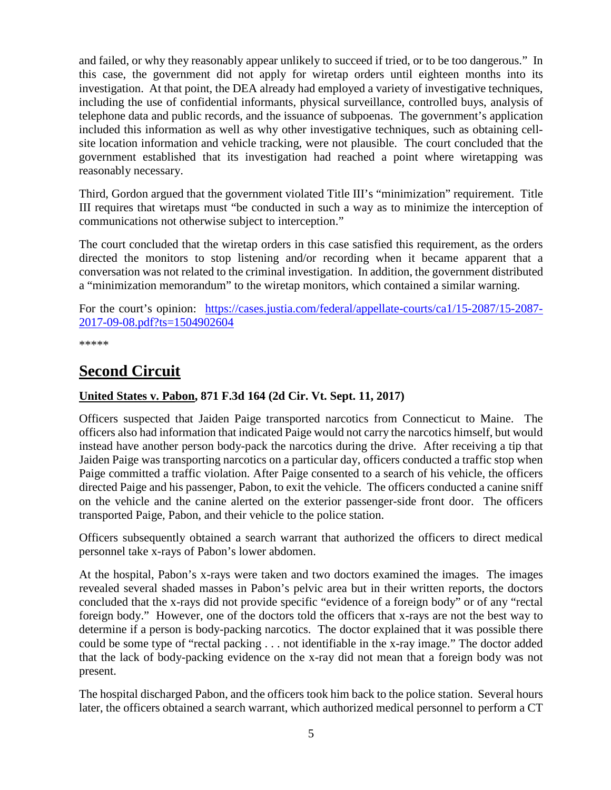and failed, or why they reasonably appear unlikely to succeed if tried, or to be too dangerous." In this case, the government did not apply for wiretap orders until eighteen months into its investigation. At that point, the DEA already had employed a variety of investigative techniques, including the use of confidential informants, physical surveillance, controlled buys, analysis of telephone data and public records, and the issuance of subpoenas. The government's application included this information as well as why other investigative techniques, such as obtaining cellsite location information and vehicle tracking, were not plausible. The court concluded that the government established that its investigation had reached a point where wiretapping was reasonably necessary.

Third, Gordon argued that the government violated Title III's "minimization" requirement. Title III requires that wiretaps must "be conducted in such a way as to minimize the interception of communications not otherwise subject to interception."

The court concluded that the wiretap orders in this case satisfied this requirement, as the orders directed the monitors to stop listening and/or recording when it became apparent that a conversation was not related to the criminal investigation. In addition, the government distributed a "minimization memorandum" to the wiretap monitors, which contained a similar warning.

For the court's opinion: [https://cases.justia.com/federal/appellate-courts/ca1/15-2087/15-2087-](https://cases.justia.com/federal/appellate-courts/ca1/15-2087/15-2087-2017-09-08.pdf?ts=1504902604) [2017-09-08.pdf?ts=1504902604](https://cases.justia.com/federal/appellate-courts/ca1/15-2087/15-2087-2017-09-08.pdf?ts=1504902604)

\*\*\*\*\*

# <span id="page-4-0"></span>**Second Circuit**

### <span id="page-4-1"></span>**United States v. Pabon, 871 F.3d 164 (2d Cir. Vt. Sept. 11, 2017)**

Officers suspected that Jaiden Paige transported narcotics from Connecticut to Maine. The officers also had information that indicated Paige would not carry the narcotics himself, but would instead have another person body-pack the narcotics during the drive. After receiving a tip that Jaiden Paige was transporting narcotics on a particular day, officers conducted a traffic stop when Paige committed a traffic violation. After Paige consented to a search of his vehicle, the officers directed Paige and his passenger, Pabon, to exit the vehicle. The officers conducted a canine sniff on the vehicle and the canine alerted on the exterior passenger-side front door. The officers transported Paige, Pabon, and their vehicle to the police station.

Officers subsequently obtained a search warrant that authorized the officers to direct medical personnel take x-rays of Pabon's lower abdomen.

At the hospital, Pabon's x-rays were taken and two doctors examined the images. The images revealed several shaded masses in Pabon's pelvic area but in their written reports, the doctors concluded that the x-rays did not provide specific "evidence of a foreign body" or of any "rectal foreign body." However, one of the doctors told the officers that x-rays are not the best way to determine if a person is body-packing narcotics. The doctor explained that it was possible there could be some type of "rectal packing . . . not identifiable in the x-ray image." The doctor added that the lack of body-packing evidence on the x-ray did not mean that a foreign body was not present.

The hospital discharged Pabon, and the officers took him back to the police station. Several hours later, the officers obtained a search warrant, which authorized medical personnel to perform a CT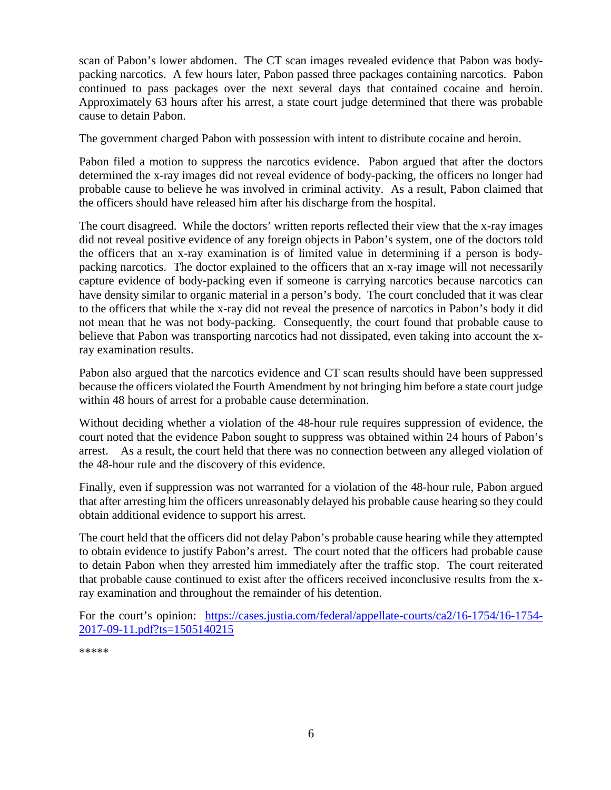scan of Pabon's lower abdomen. The CT scan images revealed evidence that Pabon was bodypacking narcotics. A few hours later, Pabon passed three packages containing narcotics. Pabon continued to pass packages over the next several days that contained cocaine and heroin. Approximately 63 hours after his arrest, a state court judge determined that there was probable cause to detain Pabon.

The government charged Pabon with possession with intent to distribute cocaine and heroin.

Pabon filed a motion to suppress the narcotics evidence. Pabon argued that after the doctors determined the x-ray images did not reveal evidence of body-packing, the officers no longer had probable cause to believe he was involved in criminal activity. As a result, Pabon claimed that the officers should have released him after his discharge from the hospital.

The court disagreed. While the doctors' written reports reflected their view that the x-ray images did not reveal positive evidence of any foreign objects in Pabon's system, one of the doctors told the officers that an x-ray examination is of limited value in determining if a person is bodypacking narcotics. The doctor explained to the officers that an x-ray image will not necessarily capture evidence of body-packing even if someone is carrying narcotics because narcotics can have density similar to organic material in a person's body. The court concluded that it was clear to the officers that while the x-ray did not reveal the presence of narcotics in Pabon's body it did not mean that he was not body-packing. Consequently, the court found that probable cause to believe that Pabon was transporting narcotics had not dissipated, even taking into account the xray examination results.

Pabon also argued that the narcotics evidence and CT scan results should have been suppressed because the officers violated the Fourth Amendment by not bringing him before a state court judge within 48 hours of arrest for a probable cause determination.

Without deciding whether a violation of the 48-hour rule requires suppression of evidence, the court noted that the evidence Pabon sought to suppress was obtained within 24 hours of Pabon's arrest. As a result, the court held that there was no connection between any alleged violation of the 48-hour rule and the discovery of this evidence.

Finally, even if suppression was not warranted for a violation of the 48-hour rule, Pabon argued that after arresting him the officers unreasonably delayed his probable cause hearing so they could obtain additional evidence to support his arrest.

The court held that the officers did not delay Pabon's probable cause hearing while they attempted to obtain evidence to justify Pabon's arrest. The court noted that the officers had probable cause to detain Pabon when they arrested him immediately after the traffic stop. The court reiterated that probable cause continued to exist after the officers received inconclusive results from the xray examination and throughout the remainder of his detention.

For the court's opinion: [https://cases.justia.com/federal/appellate-courts/ca2/16-1754/16-1754-](https://cases.justia.com/federal/appellate-courts/ca2/16-1754/16-1754-2017-09-11.pdf?ts=1505140215) [2017-09-11.pdf?ts=1505140215](https://cases.justia.com/federal/appellate-courts/ca2/16-1754/16-1754-2017-09-11.pdf?ts=1505140215)

\*\*\*\*\*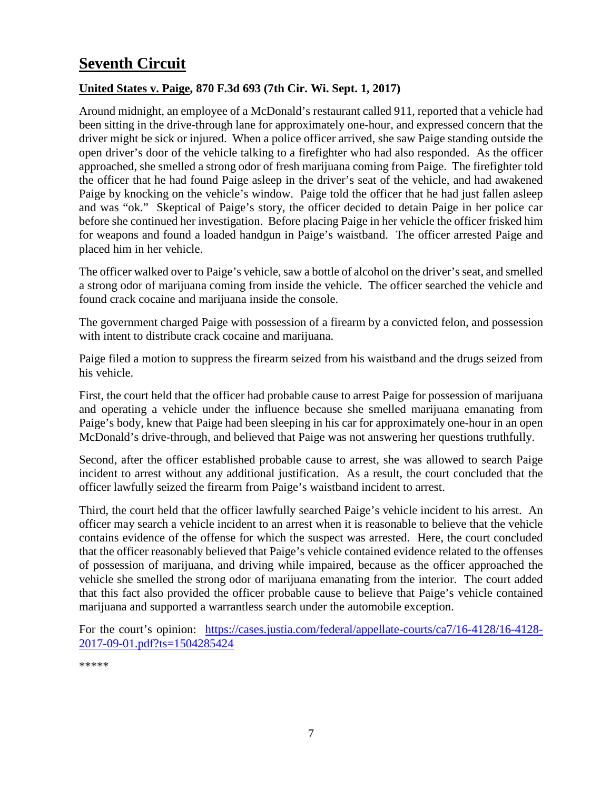# <span id="page-6-0"></span>**Seventh Circuit**

### <span id="page-6-1"></span>**United States v. Paige, 870 F.3d 693 (7th Cir. Wi. Sept. 1, 2017)**

Around midnight, an employee of a McDonald's restaurant called 911, reported that a vehicle had been sitting in the drive-through lane for approximately one-hour, and expressed concern that the driver might be sick or injured. When a police officer arrived, she saw Paige standing outside the open driver's door of the vehicle talking to a firefighter who had also responded. As the officer approached, she smelled a strong odor of fresh marijuana coming from Paige. The firefighter told the officer that he had found Paige asleep in the driver's seat of the vehicle, and had awakened Paige by knocking on the vehicle's window. Paige told the officer that he had just fallen asleep and was "ok." Skeptical of Paige's story, the officer decided to detain Paige in her police car before she continued her investigation. Before placing Paige in her vehicle the officer frisked him for weapons and found a loaded handgun in Paige's waistband. The officer arrested Paige and placed him in her vehicle.

The officer walked over to Paige's vehicle, saw a bottle of alcohol on the driver's seat, and smelled a strong odor of marijuana coming from inside the vehicle. The officer searched the vehicle and found crack cocaine and marijuana inside the console.

The government charged Paige with possession of a firearm by a convicted felon, and possession with intent to distribute crack cocaine and marijuana.

Paige filed a motion to suppress the firearm seized from his waistband and the drugs seized from his vehicle.

First, the court held that the officer had probable cause to arrest Paige for possession of marijuana and operating a vehicle under the influence because she smelled marijuana emanating from Paige's body, knew that Paige had been sleeping in his car for approximately one-hour in an open McDonald's drive-through, and believed that Paige was not answering her questions truthfully.

Second, after the officer established probable cause to arrest, she was allowed to search Paige incident to arrest without any additional justification. As a result, the court concluded that the officer lawfully seized the firearm from Paige's waistband incident to arrest.

Third, the court held that the officer lawfully searched Paige's vehicle incident to his arrest. An officer may search a vehicle incident to an arrest when it is reasonable to believe that the vehicle contains evidence of the offense for which the suspect was arrested. Here, the court concluded that the officer reasonably believed that Paige's vehicle contained evidence related to the offenses of possession of marijuana, and driving while impaired, because as the officer approached the vehicle she smelled the strong odor of marijuana emanating from the interior. The court added that this fact also provided the officer probable cause to believe that Paige's vehicle contained marijuana and supported a warrantless search under the automobile exception.

For the court's opinion: [https://cases.justia.com/federal/appellate-courts/ca7/16-4128/16-4128-](https://cases.justia.com/federal/appellate-courts/ca7/16-4128/16-4128-2017-09-01.pdf?ts=1504285424) [2017-09-01.pdf?ts=1504285424](https://cases.justia.com/federal/appellate-courts/ca7/16-4128/16-4128-2017-09-01.pdf?ts=1504285424)

\*\*\*\*\*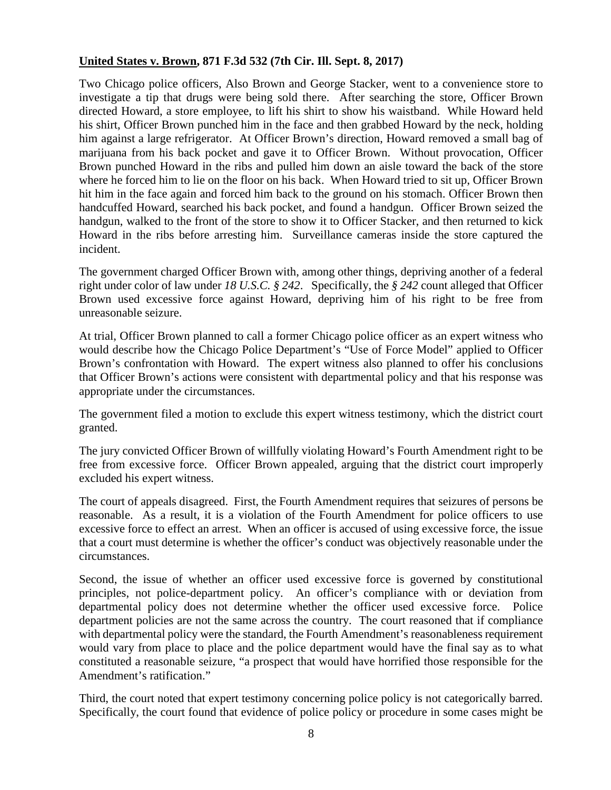### <span id="page-7-0"></span>**United States v. Brown, 871 F.3d 532 (7th Cir. Ill. Sept. 8, 2017)**

Two Chicago police officers, Also Brown and George Stacker, went to a convenience store to investigate a tip that drugs were being sold there. After searching the store, Officer Brown directed Howard, a store employee, to lift his shirt to show his waistband. While Howard held his shirt, Officer Brown punched him in the face and then grabbed Howard by the neck, holding him against a large refrigerator. At Officer Brown's direction, Howard removed a small bag of marijuana from his back pocket and gave it to Officer Brown. Without provocation, Officer Brown punched Howard in the ribs and pulled him down an aisle toward the back of the store where he forced him to lie on the floor on his back. When Howard tried to sit up, Officer Brown hit him in the face again and forced him back to the ground on his stomach. Officer Brown then handcuffed Howard, searched his back pocket, and found a handgun. Officer Brown seized the handgun, walked to the front of the store to show it to Officer Stacker, and then returned to kick Howard in the ribs before arresting him. Surveillance cameras inside the store captured the incident.

The government charged Officer Brown with, among other things, depriving another of a federal right under color of law under *18 U.S.C. § 242*. Specifically, the *§ 242* count alleged that Officer Brown used excessive force against Howard, depriving him of his right to be free from unreasonable seizure.

At trial, Officer Brown planned to call a former Chicago police officer as an expert witness who would describe how the Chicago Police Department's "Use of Force Model" applied to Officer Brown's confrontation with Howard. The expert witness also planned to offer his conclusions that Officer Brown's actions were consistent with departmental policy and that his response was appropriate under the circumstances.

The government filed a motion to exclude this expert witness testimony, which the district court granted.

The jury convicted Officer Brown of willfully violating Howard's Fourth Amendment right to be free from excessive force. Officer Brown appealed, arguing that the district court improperly excluded his expert witness.

The court of appeals disagreed. First, the Fourth Amendment requires that seizures of persons be reasonable. As a result, it is a violation of the Fourth Amendment for police officers to use excessive force to effect an arrest. When an officer is accused of using excessive force, the issue that a court must determine is whether the officer's conduct was objectively reasonable under the circumstances.

Second, the issue of whether an officer used excessive force is governed by constitutional principles, not police-department policy. An officer's compliance with or deviation from departmental policy does not determine whether the officer used excessive force. Police department policies are not the same across the country. The court reasoned that if compliance with departmental policy were the standard, the Fourth Amendment's reasonableness requirement would vary from place to place and the police department would have the final say as to what constituted a reasonable seizure, "a prospect that would have horrified those responsible for the Amendment's ratification."

Third, the court noted that expert testimony concerning police policy is not categorically barred. Specifically, the court found that evidence of police policy or procedure in some cases might be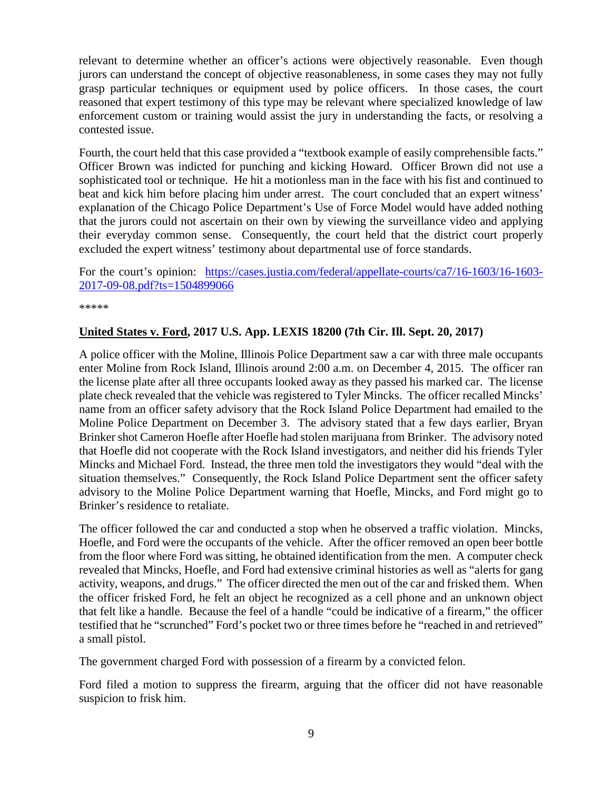relevant to determine whether an officer's actions were objectively reasonable. Even though jurors can understand the concept of objective reasonableness, in some cases they may not fully grasp particular techniques or equipment used by police officers. In those cases, the court reasoned that expert testimony of this type may be relevant where specialized knowledge of law enforcement custom or training would assist the jury in understanding the facts, or resolving a contested issue.

Fourth, the court held that this case provided a "textbook example of easily comprehensible facts." Officer Brown was indicted for punching and kicking Howard. Officer Brown did not use a sophisticated tool or technique. He hit a motionless man in the face with his fist and continued to beat and kick him before placing him under arrest. The court concluded that an expert witness' explanation of the Chicago Police Department's Use of Force Model would have added nothing that the jurors could not ascertain on their own by viewing the surveillance video and applying their everyday common sense. Consequently, the court held that the district court properly excluded the expert witness' testimony about departmental use of force standards.

For the court's opinion: [https://cases.justia.com/federal/appellate-courts/ca7/16-1603/16-1603-](https://cases.justia.com/federal/appellate-courts/ca7/16-1603/16-1603-2017-09-08.pdf?ts=1504899066) [2017-09-08.pdf?ts=1504899066](https://cases.justia.com/federal/appellate-courts/ca7/16-1603/16-1603-2017-09-08.pdf?ts=1504899066)

\*\*\*\*\*

#### <span id="page-8-0"></span>**United States v. Ford, 2017 U.S. App. LEXIS 18200 (7th Cir. Ill. Sept. 20, 2017)**

A police officer with the Moline, Illinois Police Department saw a car with three male occupants enter Moline from Rock Island, Illinois around 2:00 a.m. on December 4, 2015. The officer ran the license plate after all three occupants looked away as they passed his marked car. The license plate check revealed that the vehicle was registered to Tyler Mincks. The officer recalled Mincks' name from an officer safety advisory that the Rock Island Police Department had emailed to the Moline Police Department on December 3. The advisory stated that a few days earlier, Bryan Brinker shot Cameron Hoefle after Hoefle had stolen marijuana from Brinker. The advisory noted that Hoefle did not cooperate with the Rock Island investigators, and neither did his friends Tyler Mincks and Michael Ford. Instead, the three men told the investigators they would "deal with the situation themselves." Consequently, the Rock Island Police Department sent the officer safety advisory to the Moline Police Department warning that Hoefle, Mincks, and Ford might go to Brinker's residence to retaliate.

The officer followed the car and conducted a stop when he observed a traffic violation. Mincks, Hoefle, and Ford were the occupants of the vehicle. After the officer removed an open beer bottle from the floor where Ford was sitting, he obtained identification from the men. A computer check revealed that Mincks, Hoefle, and Ford had extensive criminal histories as well as "alerts for gang activity, weapons, and drugs." The officer directed the men out of the car and frisked them. When the officer frisked Ford, he felt an object he recognized as a cell phone and an unknown object that felt like a handle. Because the feel of a handle "could be indicative of a firearm," the officer testified that he "scrunched" Ford's pocket two or three times before he "reached in and retrieved" a small pistol.

The government charged Ford with possession of a firearm by a convicted felon.

Ford filed a motion to suppress the firearm, arguing that the officer did not have reasonable suspicion to frisk him.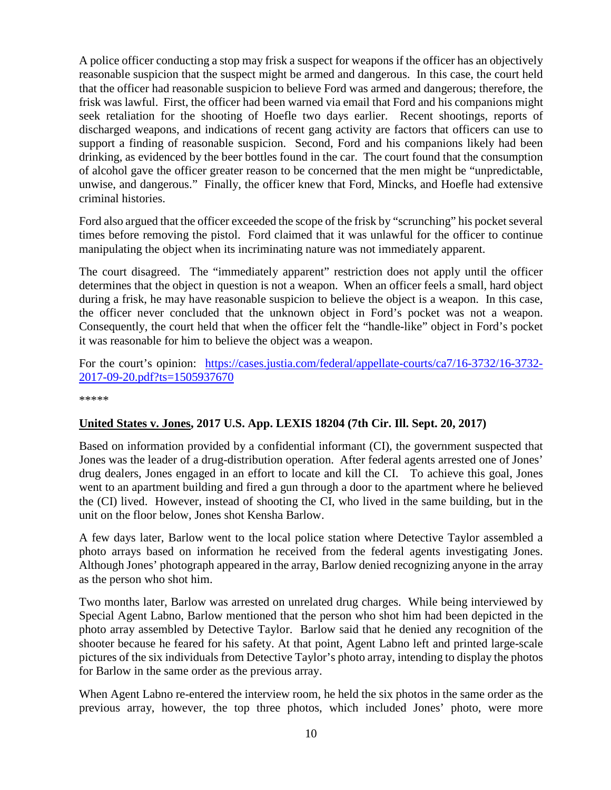A police officer conducting a stop may frisk a suspect for weapons if the officer has an objectively reasonable suspicion that the suspect might be armed and dangerous. In this case, the court held that the officer had reasonable suspicion to believe Ford was armed and dangerous; therefore, the frisk was lawful. First, the officer had been warned via email that Ford and his companions might seek retaliation for the shooting of Hoefle two days earlier. Recent shootings, reports of discharged weapons, and indications of recent gang activity are factors that officers can use to support a finding of reasonable suspicion. Second, Ford and his companions likely had been drinking, as evidenced by the beer bottles found in the car. The court found that the consumption of alcohol gave the officer greater reason to be concerned that the men might be "unpredictable, unwise, and dangerous." Finally, the officer knew that Ford, Mincks, and Hoefle had extensive criminal histories.

Ford also argued that the officer exceeded the scope of the frisk by "scrunching" his pocket several times before removing the pistol. Ford claimed that it was unlawful for the officer to continue manipulating the object when its incriminating nature was not immediately apparent.

The court disagreed. The "immediately apparent" restriction does not apply until the officer determines that the object in question is not a weapon. When an officer feels a small, hard object during a frisk, he may have reasonable suspicion to believe the object is a weapon. In this case, the officer never concluded that the unknown object in Ford's pocket was not a weapon. Consequently, the court held that when the officer felt the "handle-like" object in Ford's pocket it was reasonable for him to believe the object was a weapon.

For the court's opinion: [https://cases.justia.com/federal/appellate-courts/ca7/16-3732/16-3732-](https://cases.justia.com/federal/appellate-courts/ca7/16-3732/16-3732-2017-09-20.pdf?ts=1505937670) [2017-09-20.pdf?ts=1505937670](https://cases.justia.com/federal/appellate-courts/ca7/16-3732/16-3732-2017-09-20.pdf?ts=1505937670)

\*\*\*\*\*

### <span id="page-9-0"></span>**United States v. Jones, 2017 U.S. App. LEXIS 18204 (7th Cir. Ill. Sept. 20, 2017)**

Based on information provided by a confidential informant (CI), the government suspected that Jones was the leader of a drug-distribution operation. After federal agents arrested one of Jones' drug dealers, Jones engaged in an effort to locate and kill the CI. To achieve this goal, Jones went to an apartment building and fired a gun through a door to the apartment where he believed the (CI) lived. However, instead of shooting the CI, who lived in the same building, but in the unit on the floor below, Jones shot Kensha Barlow.

A few days later, Barlow went to the local police station where Detective Taylor assembled a photo arrays based on information he received from the federal agents investigating Jones. Although Jones' photograph appeared in the array, Barlow denied recognizing anyone in the array as the person who shot him.

Two months later, Barlow was arrested on unrelated drug charges. While being interviewed by Special Agent Labno, Barlow mentioned that the person who shot him had been depicted in the photo array assembled by Detective Taylor. Barlow said that he denied any recognition of the shooter because he feared for his safety. At that point, Agent Labno left and printed large-scale pictures of the six individuals from Detective Taylor's photo array, intending to display the photos for Barlow in the same order as the previous array.

When Agent Labno re-entered the interview room, he held the six photos in the same order as the previous array, however, the top three photos, which included Jones' photo, were more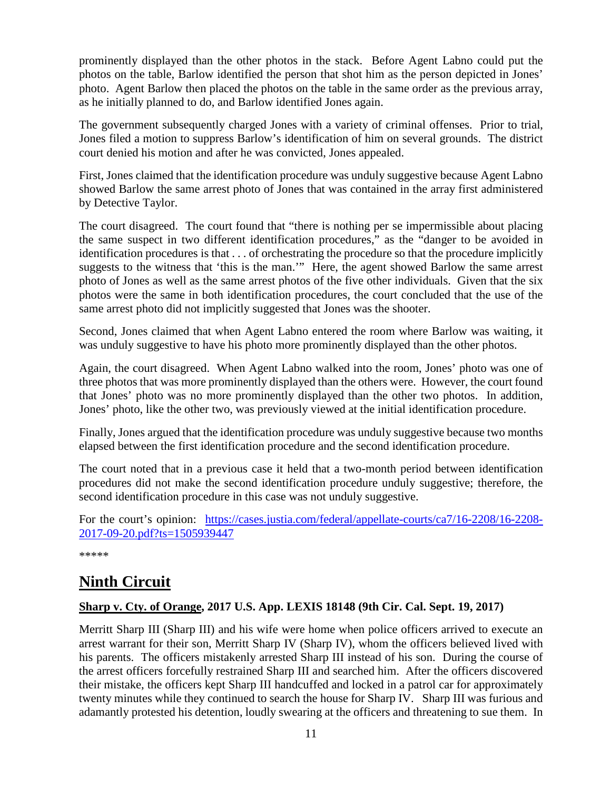prominently displayed than the other photos in the stack. Before Agent Labno could put the photos on the table, Barlow identified the person that shot him as the person depicted in Jones' photo. Agent Barlow then placed the photos on the table in the same order as the previous array, as he initially planned to do, and Barlow identified Jones again.

The government subsequently charged Jones with a variety of criminal offenses. Prior to trial, Jones filed a motion to suppress Barlow's identification of him on several grounds. The district court denied his motion and after he was convicted, Jones appealed.

First, Jones claimed that the identification procedure was unduly suggestive because Agent Labno showed Barlow the same arrest photo of Jones that was contained in the array first administered by Detective Taylor.

The court disagreed. The court found that "there is nothing per se impermissible about placing the same suspect in two different identification procedures," as the "danger to be avoided in identification procedures is that . . . of orchestrating the procedure so that the procedure implicitly suggests to the witness that 'this is the man.'" Here, the agent showed Barlow the same arrest photo of Jones as well as the same arrest photos of the five other individuals. Given that the six photos were the same in both identification procedures, the court concluded that the use of the same arrest photo did not implicitly suggested that Jones was the shooter.

Second, Jones claimed that when Agent Labno entered the room where Barlow was waiting, it was unduly suggestive to have his photo more prominently displayed than the other photos.

Again, the court disagreed. When Agent Labno walked into the room, Jones' photo was one of three photos that was more prominently displayed than the others were. However, the court found that Jones' photo was no more prominently displayed than the other two photos. In addition, Jones' photo, like the other two, was previously viewed at the initial identification procedure.

Finally, Jones argued that the identification procedure was unduly suggestive because two months elapsed between the first identification procedure and the second identification procedure.

The court noted that in a previous case it held that a two-month period between identification procedures did not make the second identification procedure unduly suggestive; therefore, the second identification procedure in this case was not unduly suggestive.

For the court's opinion: [https://cases.justia.com/federal/appellate-courts/ca7/16-2208/16-2208-](https://cases.justia.com/federal/appellate-courts/ca7/16-2208/16-2208-2017-09-20.pdf?ts=1505939447) [2017-09-20.pdf?ts=1505939447](https://cases.justia.com/federal/appellate-courts/ca7/16-2208/16-2208-2017-09-20.pdf?ts=1505939447)

\*\*\*\*\*

# <span id="page-10-0"></span>**Ninth Circuit**

### <span id="page-10-1"></span>**Sharp v. Cty. of Orange, 2017 U.S. App. LEXIS 18148 (9th Cir. Cal. Sept. 19, 2017)**

Merritt Sharp III (Sharp III) and his wife were home when police officers arrived to execute an arrest warrant for their son, Merritt Sharp IV (Sharp IV), whom the officers believed lived with his parents. The officers mistakenly arrested Sharp III instead of his son. During the course of the arrest officers forcefully restrained Sharp III and searched him. After the officers discovered their mistake, the officers kept Sharp III handcuffed and locked in a patrol car for approximately twenty minutes while they continued to search the house for Sharp IV. Sharp III was furious and adamantly protested his detention, loudly swearing at the officers and threatening to sue them. In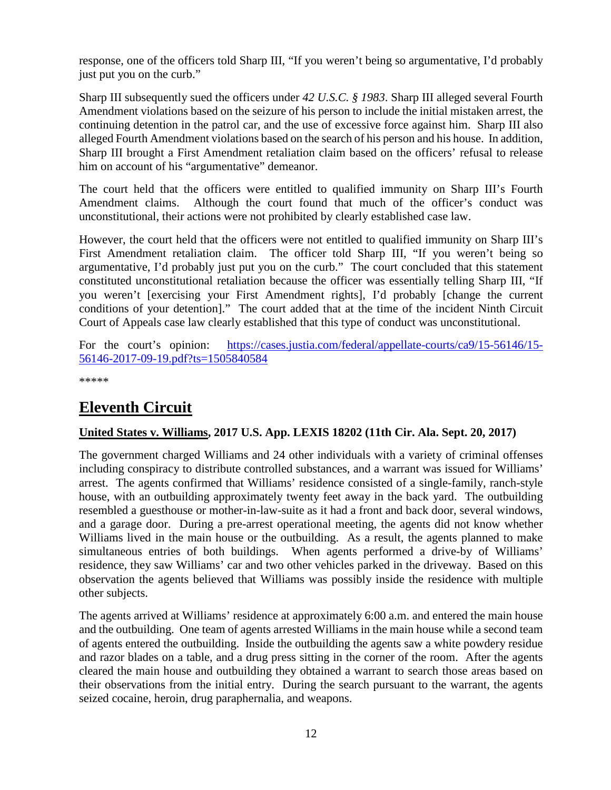response, one of the officers told Sharp III, "If you weren't being so argumentative, I'd probably just put you on the curb."

Sharp III subsequently sued the officers under *42 U.S.C. § 1983*. Sharp III alleged several Fourth Amendment violations based on the seizure of his person to include the initial mistaken arrest, the continuing detention in the patrol car, and the use of excessive force against him. Sharp III also alleged Fourth Amendment violations based on the search of his person and his house. In addition, Sharp III brought a First Amendment retaliation claim based on the officers' refusal to release him on account of his "argumentative" demeanor.

The court held that the officers were entitled to qualified immunity on Sharp III's Fourth Amendment claims. Although the court found that much of the officer's conduct was unconstitutional, their actions were not prohibited by clearly established case law.

However, the court held that the officers were not entitled to qualified immunity on Sharp III's First Amendment retaliation claim. The officer told Sharp III, "If you weren't being so argumentative, I'd probably just put you on the curb." The court concluded that this statement constituted unconstitutional retaliation because the officer was essentially telling Sharp III, "If you weren't [exercising your First Amendment rights], I'd probably [change the current conditions of your detention]." The court added that at the time of the incident Ninth Circuit Court of Appeals case law clearly established that this type of conduct was unconstitutional.

For the court's opinion: [https://cases.justia.com/federal/appellate-courts/ca9/15-56146/15-](https://cases.justia.com/federal/appellate-courts/ca9/15-56146/15-56146-2017-09-19.pdf?ts=1505840584) [56146-2017-09-19.pdf?ts=1505840584](https://cases.justia.com/federal/appellate-courts/ca9/15-56146/15-56146-2017-09-19.pdf?ts=1505840584)

\*\*\*\*\*

# <span id="page-11-0"></span>**Eleventh Circuit**

### <span id="page-11-1"></span>**United States v. Williams, 2017 U.S. App. LEXIS 18202 (11th Cir. Ala. Sept. 20, 2017)**

The government charged Williams and 24 other individuals with a variety of criminal offenses including conspiracy to distribute controlled substances, and a warrant was issued for Williams' arrest. The agents confirmed that Williams' residence consisted of a single-family, ranch-style house, with an outbuilding approximately twenty feet away in the back yard. The outbuilding resembled a guesthouse or mother-in-law-suite as it had a front and back door, several windows, and a garage door. During a pre-arrest operational meeting, the agents did not know whether Williams lived in the main house or the outbuilding. As a result, the agents planned to make simultaneous entries of both buildings. When agents performed a drive-by of Williams' residence, they saw Williams' car and two other vehicles parked in the driveway. Based on this observation the agents believed that Williams was possibly inside the residence with multiple other subjects.

The agents arrived at Williams' residence at approximately 6:00 a.m. and entered the main house and the outbuilding. One team of agents arrested Williams in the main house while a second team of agents entered the outbuilding. Inside the outbuilding the agents saw a white powdery residue and razor blades on a table, and a drug press sitting in the corner of the room. After the agents cleared the main house and outbuilding they obtained a warrant to search those areas based on their observations from the initial entry. During the search pursuant to the warrant, the agents seized cocaine, heroin, drug paraphernalia, and weapons.